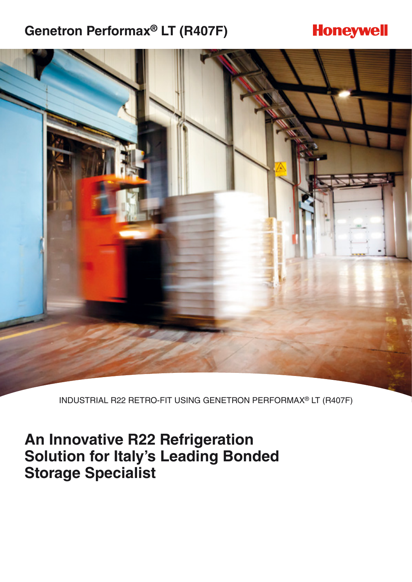## **Genetron Performax® LT (R407F)**

## **Honeywell**



INDUSTRIAL R22 RETRO-FIT USING GENETRON PERFORMAX® LT (R407F)

## **An Innovative R22 Refrigeration Solution for Italy's Leading Bonded Storage Specialist**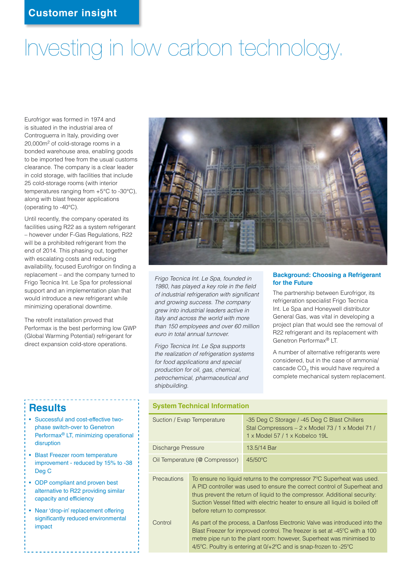# Investing in low carbon technology.

Eurofrigor was formed in 1974 and is situated in the industrial area of Controguerra in Italy, providing over 20,000m2 of cold-storage rooms in a bonded warehouse area, enabling goods to be imported free from the usual customs clearance. The company is a clear leader in cold storage, with facilities that include 25 cold-storage rooms (with interior temperatures ranging from +5°C to -30°C), along with blast freezer applications (operating to -40°C).

Until recently, the company operated its facilities using R22 as a system refrigerant – however under F-Gas Regulations, R22 will be a prohibited refrigerant from the end of 2014. This phasing out, together with escalating costs and reducing availability, focused Eurofrigor on finding a replacement – and the company turned to Frigo Tecnica Int. Le Spa for professional support and an implementation plan that would introduce a new refrigerant while minimizing operational downtime.

The retrofit installation proved that Performax is the best performing low GWP (Global Warming Potential) refrigerant for direct expansion cold-store operations.



*Frigo Tecnica Int. Le Spa, founded in 1980, has played a key role in the field of industrial refrigeration with significant and growing success. The company grew into industrial leaders active in Italy and across the world with more than 150 employees and over 60 million euro in total annual turnover.* 

*Frigo Tecnica Int. Le Spa supports the realization of refrigeration systems for food applications and special production for oil, gas, chemical, petrochemical, pharmaceutical and shipbuilding.*

#### **Background: Choosing a Refrigerant for the Future**

The partnership between Eurofrigor, its refrigeration specialist Frigo Tecnica Int. Le Spa and Honeywell distributor General Gas, was vital in developing a project plan that would see the removal of R22 refrigerant and its replacement with Genetron Performax® LT.

A number of alternative refrigerants were considered, but in the case of ammonia/ cascade CO<sub>2</sub> this would have required a complete mechanical system replacement.

### **Results**

- Successful and cost-effective twophase switch-over to Genetron Performax® LT, minimizing operational disruption
- Blast Freezer room temperature improvement - reduced by 15% to -38 Deg C
- ODP compliant and proven best alternative to R22 providing similar capacity and efficiency
- Near 'drop-in' replacement offering significantly reduced environmental impact

#### **System Technical Information**

| Suction / Evap Temperature     |                                                                                                                                                                                                                                                                                                                                                 | -35 Deg C Storage / -45 Deg C Blast Chillers<br>Stal Compressors - 2 x Model 73 / 1 x Model 71 /<br>1 x Model 57 / 1 x Kobelco 19L |
|--------------------------------|-------------------------------------------------------------------------------------------------------------------------------------------------------------------------------------------------------------------------------------------------------------------------------------------------------------------------------------------------|------------------------------------------------------------------------------------------------------------------------------------|
| Discharge Pressure             |                                                                                                                                                                                                                                                                                                                                                 | 13.5/14 Bar                                                                                                                        |
| Oil Temperature (@ Compressor) |                                                                                                                                                                                                                                                                                                                                                 | $45/50$ °C                                                                                                                         |
| <b>Precautions</b>             | To ensure no liquid returns to the compressor 7°C Superheat was used.<br>A PID controller was used to ensure the correct control of Superheat and<br>thus prevent the return of liquid to the compressor. Additional security:<br>Suction Vessel fitted with electric heater to ensure all liquid is boiled off<br>before return to compressor. |                                                                                                                                    |
| Control                        | As part of the process, a Danfoss Electronic Valve was introduced into the<br>Blast Freezer for improved control. The freezer is set at -45°C with a 100<br>metre pipe run to the plant room: however, Superheat was minimised to<br>4/5 $^{\circ}$ C. Poultry is entering at 0/+2 $^{\circ}$ C and is snap-frozen to -25 $^{\circ}$ C          |                                                                                                                                    |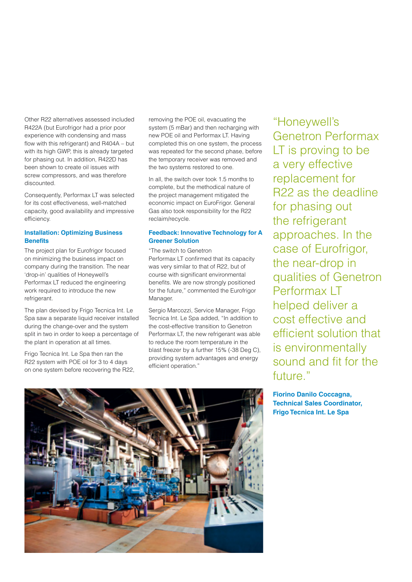Other R22 alternatives assessed included R422A (but Eurofrigor had a prior poor experience with condensing and mass flow with this refrigerant) and R404A – but with its high GWP, this is already targeted for phasing out. In addition, R422D has been shown to create oil issues with screw compressors, and was therefore discounted.

Consequently, Performax LT was selected for its cost effectiveness, well-matched capacity, good availability and impressive efficiency.

#### **Installation: Optimizing Business Benefits**

The project plan for Eurofrigor focused on minimizing the business impact on company during the transition. The near 'drop-in' qualities of Honeywell's Performax LT reduced the engineering work required to introduce the new refrigerant.

The plan devised by Frigo Tecnica Int. Le Spa saw a separate liquid receiver installed during the change-over and the system split in two in order to keep a percentage of the plant in operation at all times.

Frigo Tecnica Int. Le Spa then ran the R22 system with POE oil for 3 to 4 days on one system before recovering the R22, removing the POE oil, evacuating the system (5 mBar) and then recharging with new POE oil and Performax LT. Having completed this on one system, the process was repeated for the second phase, before the temporary receiver was removed and the two systems restored to one.

In all, the switch over took 1.5 months to complete, but the methodical nature of the project management mitigated the economic impact on EuroFrigor. General Gas also took responsibility for the R22 reclaim/recycle.

#### **Feedback: Innovative Technology for A Greener Solution**

"The switch to Genetron Performax LT confirmed that its capacity was very similar to that of R22, but of course with significant environmental benefits. We are now strongly positioned for the future," commented the Eurofrigor Manager.

Sergio Marcozzi, Service Manager, Frigo Tecnica Int. Le Spa added, "In addition to the cost-effective transition to Genetron Performax LT, the new refrigerant was able to reduce the room temperature in the blast freezer by a further 15% (-38 Deg C), providing system advantages and energy efficient operation."

"Honeywell's Genetron Performax LT is proving to be a very effective replacement for R22 as the deadline for phasing out the refrigerant approaches. In the case of Eurofrigor, the near-drop in qualities of Genetron Performax IT helped deliver a cost effective and efficient solution that is environmentally sound and fit for the future."

**Fiorino Danilo Coccagna, Technical Sales Coordinator, Frigo Tecnica Int. Le Spa**